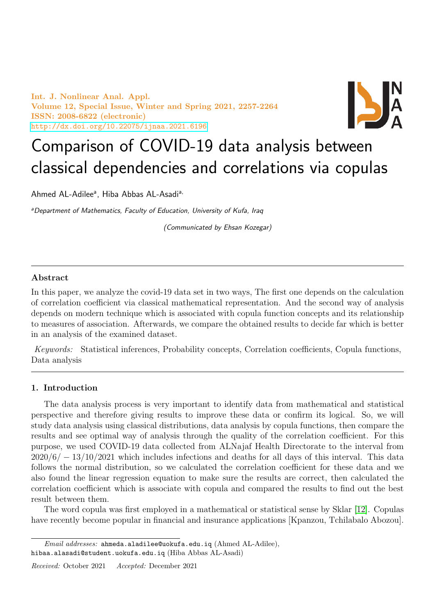Int. J. Nonlinear Anal. Appl. Volume 12, Special Issue, Winter and Spring 2021, 2257-2264 ISSN: 2008-6822 (electronic) <http://dx.doi.org/10.22075/ijnaa.2021.6196>



# Comparison of COVID-19 data analysis between classical dependencies and correlations via copulas

Ahmed AL-Adilee<sup>a</sup>, Hiba Abbas AL-Asadi<sup>a,</sup>

aDepartment of Mathematics, Faculty of Education, University of Kufa, Iraq

(Communicated by Ehsan Kozegar)

# Abstract

In this paper, we analyze the covid-19 data set in two ways, The first one depends on the calculation of correlation coefficient via classical mathematical representation. And the second way of analysis depends on modern technique which is associated with copula function concepts and its relationship to measures of association. Afterwards, we compare the obtained results to decide far which is better in an analysis of the examined dataset.

Keywords: Statistical inferences, Probability concepts, Correlation coefficients, Copula functions, Data analysis

# 1. Introduction

The data analysis process is very important to identify data from mathematical and statistical perspective and therefore giving results to improve these data or confirm its logical. So, we will study data analysis using classical distributions, data analysis by copula functions, then compare the results and see optimal way of analysis through the quality of the correlation coefficient. For this purpose, we used COVID-19 data collected from ALNajaf Health Directorate to the interval from  $2020/6/- 13/10/2021$  which includes infections and deaths for all days of this interval. This data follows the normal distribution, so we calculated the correlation coefficient for these data and we also found the linear regression equation to make sure the results are correct, then calculated the correlation coefficient which is associate with copula and compared the results to find out the best result between them.

The word copula was first employed in a mathematical or statistical sense by Sklar [\[12\]](#page-7-0). Copulas have recently become popular in financial and insurance applications [Kpanzou, Tchilabalo Abozou].

 $Email \ addresses:$  ahmeda.aladilee@uokufa.edu.iq (Ahmed AL-Adilee), hibaa.alasadi@student.uokufa.edu.iq (Hiba Abbas AL-Asadi)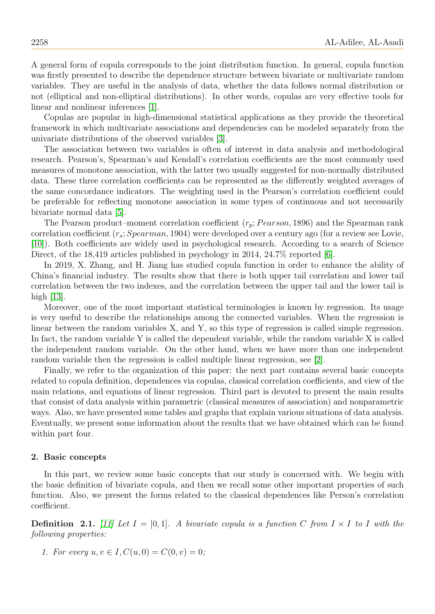A general form of copula corresponds to the joint distribution function. In general, copula function was firstly presented to describe the dependence structure between bivariate or multivariate random variables. They are useful in the analysis of data, whether the data follows normal distribution or not (elliptical and non-elliptical distributions). In other words, copulas are very effective tools for linear and nonlinear inferences [\[1\]](#page-6-0).

Copulas are popular in high-dimensional statistical applications as they provide the theoretical framework in which multivariate associations and dependencies can be modeled separately from the univariate distributions of the observed variables [\[3\]](#page-7-1).

The association between two variables is often of interest in data analysis and methodological research. Pearson's, Spearman's and Kendall's correlation coefficients are the most commonly used measures of monotone association, with the latter two usually suggested for non-normally distributed data. These three correlation coefficients can be represented as the differently weighted averages of the same concordance indicators. The weighting used in the Pearson's correlation coefficient could be preferable for reflecting monotone association in some types of continuous and not necessarily bivariate normal data [\[5\]](#page-7-2).

The Pearson product–moment correlation coefficient  $(r_p; Pearson, 1896)$  and the Spearman rank correlation coefficient  $(r_s; Spearman, 1904)$  were developed over a century ago (for a review see Lovie, [\[10\]](#page-7-3)). Both coefficients are widely used in psychological research. According to a search of Science Direct, of the 18,419 articles published in psychology in 2014, 24.7% reported [\[6\]](#page-7-4).

In 2019, X. Zhang, and H. Jiang has studied copula function in order to enhance the ability of China's financial industry. The results show that there is both upper tail correlation and lower tail correlation between the two indexes, and the correlation between the upper tail and the lower tail is high [\[13\]](#page-7-5).

Moreover, one of the most important statistical terminologies is known by regression. Its usage is very useful to describe the relationships among the connected variables. When the regression is linear between the random variables X, and Y, so this type of regression is called simple regression. In fact, the random variable Y is called the dependent variable, while the random variable X is called the independent random variable. On the other hand, when we have more than one independent random variable then the regression is called multiple linear regression, see [\[2\]](#page-6-1).

Finally, we refer to the organization of this paper: the next part contains several basic concepts related to copula definition, dependences via copulas, classical correlation coefficients, and view of the main relations, and equations of linear regression. Third part is devoted to present the main results that consist of data analysis within parametric (classical measures of association) and nonparametric ways. Also, we have presented some tables and graphs that explain various situations of data analysis. Eventually, we present some information about the results that we have obtained which can be found within part four.

#### 2. Basic concepts

In this part, we review some basic concepts that our study is concerned with. We begin with the basic definition of bivariate copula, and then we recall some other important properties of such function. Also, we present the forms related to the classical dependences like Person's correlation coefficient.

**Definition** 2.1. [\[11\]](#page-7-6) Let  $I = [0, 1]$ . A bivariate copula is a function C from  $I \times I$  to I with the following properties:

1. For every  $u, v \in I$ ,  $C(u, 0) = C(0, v) = 0$ ;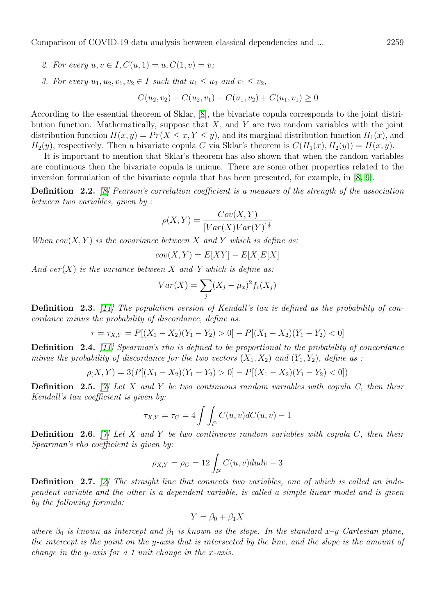- 2. For every  $u, v \in I$ ,  $C(u, 1) = u$ ,  $C(1, v) = v$ ;
- 3. For every  $u_1, u_2, v_1, v_2 \in I$  such that  $u_1 \leq u_2$  and  $v_1 \leq v_2$ ,

 $C(u_2, v_2) - C(u_2, v_1) - C(u_1, v_2) + C(u_1, v_1) \geq 0$ 

According to the essential theorem of Sklar, [\[8\]](#page-7-7), the bivariate copula corresponds to the joint distribution function. Mathematically, suppose that  $X$ , and  $Y$  are two random variables with the joint distribution function  $H(x, y) = Pr(X \le x, Y \le y)$ , and its marginal distribution function  $H_1(x)$ , and  $H_2(y)$ , respectively. Then a bivariate copula C via Sklar's theorem is  $C(H_1(x), H_2(y)) = H(x, y)$ .

It is important to mention that Sklar's theorem has also shown that when the random variables are continuous then the bivariate copula is unique. There are some other properties related to the inversion formulation of the bivariate copula that has been presented, for example, in [\[8,](#page-7-7) [9\]](#page-7-8).

Definition 2.2. [\[8\]](#page-7-7) Pearson's correlation coefficient is a measure of the strength of the association between two variables, given by :

$$
\rho(X,Y) = \frac{Cov(X,Y)}{[Var(X)Var(Y)]^{\frac{1}{2}}}
$$

When  $cov(X, Y)$  is the covariance between X and Y which is define as:

$$
cov(X, Y) = E[XY] - E[X]E[X]
$$

And  $ver(X)$  is the variance between X and Y which is define as:

$$
Var(X) = \sum_{j} (X_j - \mu_x)^2 f_c(X_j)
$$

Definition 2.3. [\[11\]](#page-7-6) The population version of Kendall's tau is defined as the probability of concordance minus the probability of discordance, define as:

$$
\tau = \tau_{X,Y} = P[(X_1 - X_2)(Y_1 - Y_2) > 0] - P[(X_1 - X_2)(Y_1 - Y_2) < 0]
$$

Definition 2.4. [\[11\]](#page-7-6) Spearman's rho is defined to be proportional to the probability of concordance minus the probability of discordance for the two vectors  $(X_1, X_2)$  and  $(Y_1, Y_2)$ , define as :

$$
\rho(X,Y) = 3(P[(X_1 - X_2)(Y_1 - Y_2) > 0] - P[(X_1 - X_2)(Y_1 - Y_2) < 0])
$$

**Definition** 2.5. [\[7\]](#page-7-9) Let X and Y be two continuous random variables with copula C, then their Kendall's tau coefficient is given by:

$$
\tau_{X,Y} = \tau_C = 4 \int \int_{l^2} C(u,v) dC(u,v) - 1
$$

**Definition 2.6.** [\[7\]](#page-7-9) Let X and Y be two continuous random variables with copula C, then their Spearman's rho coefficient is given by:

$$
\rho_{X,Y} = \rho_C = 12 \int_{l^2} C(u,v) du dv - 3
$$

Definition 2.7. [\[2\]](#page-6-1) The straight line that connects two variables, one of which is called an independent variable and the other is a dependent variable, is called a simple linear model and is given by the following formula:

$$
Y = \beta_0 + \beta_1 X
$$

where  $\beta_0$  is known as intercept and  $\beta_1$  is known as the slope. In the standard x-y Cartesian plane, the intercept is the point on the y-axis that is intersected by the line, and the slope is the amount of change in the y-axis for a 1 unit change in the x-axis.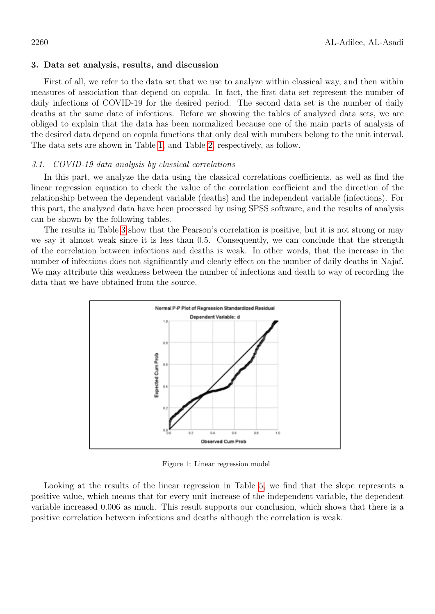#### 3. Data set analysis, results, and discussion

First of all, we refer to the data set that we use to analyze within classical way, and then within measures of association that depend on copula. In fact, the first data set represent the number of daily infections of COVID-19 for the desired period. The second data set is the number of daily deaths at the same date of infections. Before we showing the tables of analyzed data sets, we are obliged to explain that the data has been normalized because one of the main parts of analysis of the desired data depend on copula functions that only deal with numbers belong to the unit interval. The data sets are shown in Table [1,](#page-4-0) and Table [2,](#page-5-0) respectively, as follow.

## 3.1. COVID-19 data analysis by classical correlations

In this part, we analyze the data using the classical correlations coefficients, as well as find the linear regression equation to check the value of the correlation coefficient and the direction of the relationship between the dependent variable (deaths) and the independent variable (infections). For this part, the analyzed data have been processed by using SPSS software, and the results of analysis can be shown by the following tables.

The results in Table [3](#page-6-2) show that the Pearson's correlation is positive, but it is not strong or may we say it almost weak since it is less than 0.5. Consequently, we can conclude that the strength of the correlation between infections and deaths is weak. In other words, that the increase in the number of infections does not significantly and clearly effect on the number of daily deaths in Najaf. We may attribute this weakness between the number of infections and death to way of recording the data that we have obtained from the source.



Figure 1: Linear regression model

Looking at the results of the linear regression in Table [5,](#page-7-10) we find that the slope represents a positive value, which means that for every unit increase of the independent variable, the dependent variable increased 0.006 as much. This result supports our conclusion, which shows that there is a positive correlation between infections and deaths although the correlation is weak.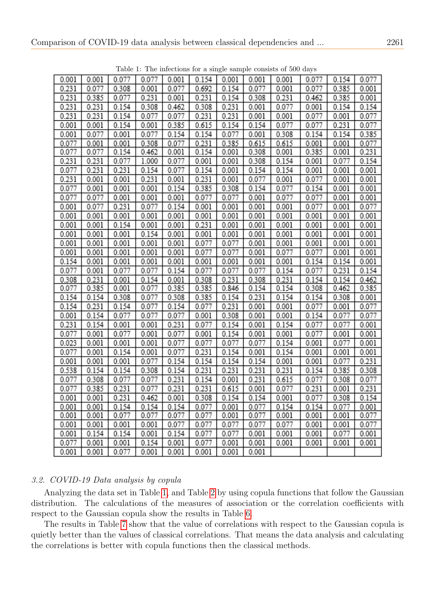<span id="page-4-0"></span>

|       |       |       |       |       |       |       |       | The intertions for a single sample consists of 500 days |       |       |       |
|-------|-------|-------|-------|-------|-------|-------|-------|---------------------------------------------------------|-------|-------|-------|
| 0.001 | 0.001 | 0.077 | 0.077 | 0.001 | 0.154 | 0.001 | 0.001 | 0.001                                                   | 0.077 | 0.154 | 0.077 |
| 0.231 | 0.077 | 0.308 | 0.001 | 0.077 | 0.692 | 0.154 | 0.077 | 0.001                                                   | 0.077 | 0.385 | 0.001 |
| 0.231 | 0.385 | 0.077 | 0.231 | 0.001 | 0.231 | 0.154 | 0.308 | 0.231                                                   | 0.462 | 0.385 | 0.001 |
| 0.231 | 0.231 | 0.154 | 0.308 | 0.462 | 0.308 | 0.231 | 0.001 | 0.077                                                   | 0.001 | 0.154 | 0.154 |
| 0.231 | 0.231 | 0.154 | 0.077 | 0.077 | 0.231 | 0.231 | 0.001 | 0.001                                                   | 0.077 | 0.001 | 0.077 |
| 0.001 | 0.001 | 0.154 | 0.001 | 0.385 | 0.615 | 0.154 | 0.154 | 0.077                                                   | 0.077 | 0.231 | 0.077 |
| 0.001 | 0.077 | 0.001 | 0.077 | 0.154 | 0.154 | 0.077 | 0.001 | 0.308                                                   | 0.154 | 0.154 | 0.385 |
| 0.077 | 0.001 | 0.001 | 0.308 | 0.077 | 0.231 | 0.385 | 0.615 | 0.615                                                   | 0.001 | 0.001 | 0.077 |
| 0.077 | 0.077 | 0.154 | 0.462 | 0.001 | 0.154 | 0.001 | 0.308 | 0.001                                                   | 0.385 | 0.001 | 0.231 |
| 0.231 | 0.231 | 0.077 | 1.000 | 0.077 | 0.001 | 0.001 | 0.308 | 0.154                                                   | 0.001 | 0.077 | 0.154 |
| 0.077 | 0.231 | 0.231 | 0.154 | 0.077 | 0.154 | 0.001 | 0.154 | 0.154                                                   | 0.001 | 0.001 | 0.001 |
| 0.231 | 0.001 | 0.001 | 0.231 | 0.001 | 0.231 | 0.001 | 0.077 | 0.001                                                   | 0.077 | 0.001 | 0.001 |
| 0.077 | 0.001 | 0.001 | 0.001 | 0.154 | 0.385 | 0.308 | 0.154 | 0.077                                                   | 0.154 | 0.001 | 0.001 |
| 0.077 | 0.077 | 0.001 | 0.001 | 0.001 | 0.077 | 0.077 | 0.001 | 0.077                                                   | 0.077 | 0.001 | 0.001 |
| 0.001 | 0.077 | 0.231 | 0.077 | 0.154 | 0.001 | 0.001 | 0.001 | 0.001                                                   | 0.077 | 0.001 | 0.077 |
| 0.001 | 0.001 | 0.001 | 0.001 | 0.001 | 0.001 | 0.001 | 0.001 | 0.001                                                   | 0.001 | 0.001 | 0.001 |
| 0.001 | 0.001 | 0.154 | 0.001 | 0.001 | 0.231 | 0.001 | 0.001 | 0.001                                                   | 0.001 | 0.001 | 0.001 |
| 0.001 | 0.001 | 0.001 | 0.154 | 0.001 | 0.001 | 0.001 | 0.001 | 0.001                                                   | 0.001 | 0.001 | 0.001 |
| 0.001 | 0.001 | 0.001 | 0.001 | 0.001 | 0.077 | 0.077 | 0.001 | 0.001                                                   | 0.001 | 0.001 | 0.001 |
| 0.001 | 0.001 | 0.001 | 0.001 | 0.001 | 0.077 | 0.077 | 0.001 | 0.077                                                   | 0.077 | 0.001 | 0.001 |
| 0.154 | 0.001 | 0.001 | 0.001 | 0.001 | 0.001 | 0.001 | 0.001 | 0.001                                                   | 0.154 | 0.154 | 0.001 |
| 0.077 | 0.001 | 0.077 | 0.077 | 0.154 | 0.077 | 0.077 | 0.077 | 0.154                                                   | 0.077 | 0.231 | 0.154 |
| 0.308 | 0.231 | 0.001 | 0.154 | 0.001 | 0.308 | 0.231 | 0.308 | 0.231                                                   | 0.154 | 0.154 | 0.462 |
| 0.077 | 0.385 | 0.001 | 0.077 | 0.385 | 0.385 | 0.846 | 0.154 | 0.154                                                   | 0.308 | 0.462 | 0.385 |
| 0.154 | 0.154 | 0.308 | 0.077 | 0.308 | 0.385 | 0.154 | 0.231 | 0.154                                                   | 0.154 | 0.308 | 0.001 |
| 0.154 | 0.231 | 0.154 | 0.077 | 0.154 | 0.077 | 0.231 | 0.001 | 0.001                                                   | 0.077 | 0.001 | 0.077 |
| 0.001 | 0.154 | 0.077 | 0.077 | 0.077 | 0.001 | 0.308 | 0.001 | 0.001                                                   | 0.154 | 0.077 | 0.077 |
| 0.231 | 0.154 | 0.001 | 0.001 | 0.231 | 0.077 | 0.154 | 0.001 | 0.154                                                   | 0.077 | 0.077 | 0.001 |
| 0.077 | 0.001 | 0.077 | 0.001 | 0.077 | 0.001 | 0.154 | 0.001 | 0.001                                                   | 0.077 | 0.001 | 0.001 |
| 0.023 | 0.001 | 0.001 | 0.001 | 0.077 | 0.077 | 0.077 | 0.077 | 0.154                                                   | 0.001 | 0.077 | 0.001 |
| 0.077 | 0.001 | 0.154 | 0.001 | 0.077 | 0.231 | 0.154 | 0.001 | 0.154                                                   | 0.001 | 0.001 | 0.001 |
| 0.001 | 0.001 | 0.001 | 0.077 | 0.154 | 0.154 | 0.154 | 0.154 | 0.001                                                   | 0.001 | 0.077 | 0.231 |
| 0.538 | 0.154 | 0.154 | 0.308 | 0.154 | 0.231 | 0.231 | 0.231 | 0.231                                                   | 0.154 | 0.385 | 0.308 |
| 0.077 | 0.308 | 0.077 | 0.077 | 0.231 | 0.154 | 0.001 | 0.231 | 0.615                                                   | 0.077 | 0.308 | 0.077 |
| 0.077 | 0.385 | 0.231 | 0.077 | 0.231 | 0.231 | 0.615 | 0.001 | 0.077                                                   | 0.231 | 0.001 | 0.231 |
| 0.001 | 0.001 | 0.231 | 0.462 | 0.001 | 0.308 | 0.154 | 0.154 | 0.001                                                   | 0.077 | 0.308 | 0.154 |
| 0.001 | 0.001 | 0.154 | 0.154 | 0.154 | 0.077 | 0.001 | 0.077 | 0.154                                                   | 0.154 | 0.077 | 0.001 |
| 0.001 | 0.001 | 0.077 | 0.077 | 0.077 | 0.077 | 0.001 | 0.077 | 0.001                                                   | 0.001 | 0.001 | 0.077 |
| 0.001 | 0.001 | 0.001 | 0.001 | 0.077 | 0.077 | 0.077 | 0.077 | 0.077                                                   | 0.001 | 0.001 | 0.077 |
| 0.001 | 0.154 | 0.154 | 0.001 | 0.154 | 0.077 | 0.077 | 0.001 | 0.001                                                   | 0.001 | 0.077 | 0.001 |
| 0.077 | 0.001 | 0.001 | 0.154 | 0.001 | 0.077 | 0.001 | 0.001 | 0.001                                                   | 0.001 | 0.001 | 0.001 |
| 0.001 | 0.001 | 0.077 | 0.001 | 0.001 | 0.001 | 0.001 | 0.001 |                                                         |       |       |       |

Table 1: The infections for a single sample consists of 500 days

# 3.2. COVID-19 Data analysis by copula

Analyzing the data set in Table [1,](#page-4-0) and Table [2](#page-5-0) by using copula functions that follow the Gaussian distribution. The calculations of the measures of association or the correlation coefficients with respect to the Gaussian copula show the results in Table [6.](#page-7-11)

The results in Table [7](#page-7-12) show that the value of correlations with respect to the Gaussian copula is quietly better than the values of classical correlations. That means the data analysis and calculating the correlations is better with copula functions then the classical methods.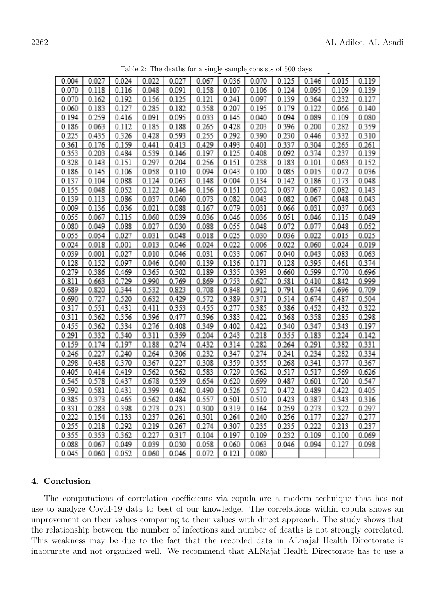<span id="page-5-0"></span>

| 0.004 | 0.027 | 0.024 | 0.022 | 0.027 | 0.067 | 0.036         | 0.070 | 0.125 | 0.146 | 0.015 | 0.119 |
|-------|-------|-------|-------|-------|-------|---------------|-------|-------|-------|-------|-------|
| 0.070 | 0.118 | 0.116 | 0.048 | 0.091 | 0.158 | 0.107         | 0.106 | 0.124 | 0.095 | 0.109 | 0.139 |
| 0.070 | 0.162 | 0.192 | 0.156 | 0.125 | 0.121 | 0.241         | 0.097 | 0.139 | 0.364 | 0.232 | 0.127 |
| 0.060 | 0.183 | 0.127 | 0.285 | 0.182 | 0.358 | 0.207         | 0.195 | 0.179 | 0.122 | 0.066 | 0.140 |
| 0.194 | 0.259 | 0.416 | 0.091 | 0.095 | 0.033 | 0.145         | 0.040 | 0.094 | 0.089 | 0.109 | 0.080 |
| 0.186 | 0.063 | 0.112 | 0.185 | 0.188 | 0.265 | 0.428         | 0.203 | 0.396 | 0.200 | 0.282 | 0.359 |
| 0.225 | 0.435 | 0.326 | 0.428 | 0.593 | 0.255 | 0.292         | 0.390 | 0.230 | 0.446 | 0.332 | 0.310 |
| 0.361 | 0.176 | 0.159 | 0.441 | 0.413 | 0.429 | 0.493         | 0.401 | 0.337 | 0.304 | 0.265 | 0.261 |
| 0.353 | 0.203 | 0.484 | 0.539 | 0.146 | 0.197 | 0.125         | 0.408 | 0.092 | 0.374 | 0.237 | 0.139 |
| 0.328 | 0.143 | 0.151 | 0.297 | 0.204 | 0.256 | 0.151         | 0.238 | 0.183 | 0.101 | 0.063 | 0.152 |
| 0.186 | 0.145 | 0.106 | 0.058 | 0.110 | 0.094 | 0.043         | 0.100 | 0.085 | 0.015 | 0.072 | 0.036 |
| 0.137 | 0.104 | 0.088 | 0.124 | 0.063 | 0.148 | 0.004         | 0.134 | 0.142 | 0.186 | 0.173 | 0.048 |
| 0.155 | 0.048 | 0.052 | 0.122 | 0.146 | 0.156 | 0.151         | 0.052 | 0.037 | 0.067 | 0.082 | 0.143 |
| 0.139 | 0.113 | 0.086 | 0.037 | 0.060 | 0.073 | 0.082         | 0.043 | 0.082 | 0.067 | 0.048 | 0.043 |
| 0.009 | 0.136 | 0.036 | 0.021 | 0.088 | 0.167 | 0.079         | 0.031 | 0.066 | 0.031 | 0.037 | 0.063 |
| 0.055 | 0.067 | 0.115 | 0.060 | 0.039 | 0.036 | 0.046         | 0.036 | 0.051 | 0.046 | 0.115 | 0.049 |
| 0.080 | 0.049 | 0.088 | 0.027 | 0.030 | 0.088 | 0.055         | 0.048 | 0.072 | 0.077 | 0.048 | 0.052 |
| 0.055 | 0.054 | 0.027 | 0.031 | 0.048 | 0.018 | 0.025         | 0.030 | 0.036 | 0.022 | 0.015 | 0.025 |
| 0.024 | 0.018 | 0.001 | 0.013 | 0.046 | 0.024 | 0.022         | 0.006 | 0.022 | 0.060 | 0.024 | 0.019 |
| 0.039 | 0.001 | 0.027 | 0.010 | 0.046 | 0.031 | 0.033         | 0.067 | 0.040 | 0.043 | 0.083 | 0.063 |
| 0.128 | 0.152 | 0.097 | 0.046 | 0.040 | 0.139 | 0.136         | 0.171 | 0.128 | 0.395 | 0.461 | 0.374 |
| 0.279 | 0.386 | 0.469 | 0.365 | 0.502 | 0.189 | 0.335         | 0.393 | 0.660 | 0.599 | 0.770 | 0.696 |
| 0.811 | 0.663 | 0.729 | 0.990 | 0.769 | 0.869 | 0.753         | 0.627 | 0.581 | 0.410 | 0.842 | 0.999 |
| 0.689 | 0.820 | 0.344 | 0.532 | 0.823 | 0.708 | 0.848         | 0.912 | 0.791 | 0.674 | 0.696 | 0.709 |
| 0.690 | 0.727 | 0.520 | 0.632 | 0.429 | 0.572 | 0.389         | 0.371 | 0.514 | 0.674 | 0.487 | 0.504 |
| 0.317 | 0.551 | 0.431 | 0.411 | 0.353 | 0.455 | 0.277         | 0.385 | 0.386 | 0.452 | 0.432 | 0.322 |
| 0.311 | 0.362 | 0.356 | 0.396 | 0.477 | 0.396 | 0.383         | 0.422 | 0.368 | 0.358 | 0.285 | 0.298 |
| 0.455 | 0.362 | 0.334 | 0.276 | 0.408 | 0.349 | 0.402         | 0.422 | 0.340 | 0.347 | 0.343 | 0.197 |
| 0.291 | 0.332 | 0.340 | 0.311 | 0.359 | 0.204 | 0.243         | 0.218 | 0.355 | 0.183 | 0.224 | 0.142 |
| 0.159 | 0.174 | 0.197 | 0.188 | 0.274 | 0.432 | 0.314         | 0.282 | 0.264 | 0.291 | 0.382 | 0.331 |
| 0.246 | 0.227 | 0.240 | 0.264 | 0.306 | 0.232 | 0.347         | 0.274 | 0.241 | 0.234 | 0.282 | 0.334 |
| 0.298 | 0.438 | 0.370 | 0.367 | 0.227 | 0.308 | 0.359         | 0.355 | 0.268 | 0.341 | 0.377 | 0.367 |
| 0.405 | 0.414 | 0.419 | 0.562 | 0.562 | 0.583 | 0.729         | 0.562 | 0.517 | 0.517 | 0.569 | 0.626 |
| 0.545 | 0.578 | 0.437 | 0.678 | 0.539 | 0.654 | 0.620         | 0.699 | 0.487 | 0.601 | 0.720 | 0.547 |
| 0.592 | 0.581 | 0.431 | 0.399 | 0.462 | 0.490 | 0.526         | 0.572 | 0.472 | 0.489 | 0.422 | 0.405 |
| 0.385 | 0.373 | 0.465 | 0.562 | 0.484 | 0.557 | 0.501         | 0.510 | 0.423 | 0.387 | 0.343 | 0.316 |
| 0.331 | 0.283 | 0.398 | 0.273 | 0.231 | 0.300 | 0.319         | 0.164 | 0.259 | 0.273 | 0.322 | 0.297 |
| 0.222 | 0.154 | 0.133 | 0.237 | 0.261 | 0.301 | 0.264         | 0.240 | 0.256 | 0.177 | 0.227 | 0.277 |
| 0.255 | 0.218 | 0.292 | 0.219 | 0.267 | 0.274 | 0.307         | 0.235 | 0.235 | 0.222 | 0.213 | 0.237 |
| 0.355 | 0.353 | 0.362 | 0.227 | 0.317 | 0.104 | 0.197         | 0.109 | 0.232 | 0.109 | 0.100 | 0.069 |
| 0.088 | 0.067 | 0.049 | 0.039 | 0.030 | 0.058 | 0.060         | 0.063 | 0.046 | 0.094 | 0.127 | 0.098 |
| 0.045 | 0.060 | 0.052 | 0.060 | 0.046 |       | $0.072$ 0.121 | 0.080 |       |       |       |       |

Table 2: The deaths for a single sample consists of 500 days

## 4. Conclusion

The computations of correlation coefficients via copula are a modern technique that has not use to analyze Covid-19 data to best of our knowledge. The correlations within copula shows an improvement on their values comparing to their values with direct approach. The study shows that the relationship between the number of infections and number of deaths is not strongly correlated. This weakness may be due to the fact that the recorded data in ALnajaf Health Directorate is inaccurate and not organized well. We recommend that ALNajaf Health Directorate has to use a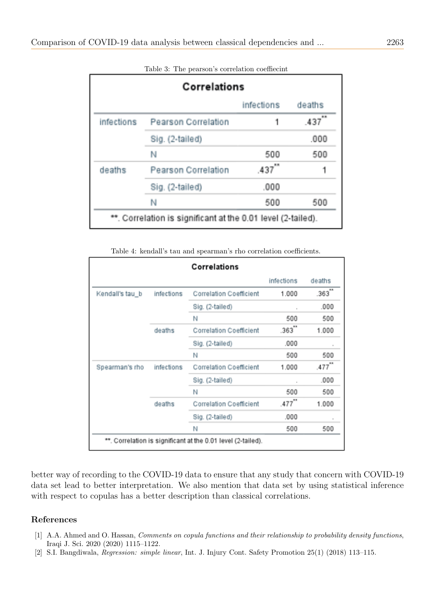<span id="page-6-2"></span>

|             |                            | infections | deaths |
|-------------|----------------------------|------------|--------|
| infections. | Pearson Correlation        |            | 437    |
|             | Sig. (2-tailed)            |            | .000   |
|             | N                          | 500        | 500    |
| deaths      | <b>Pearson Correlation</b> | ,437       |        |
|             | Sig. (2-tailed)            | .000       |        |
|             | N                          | 500        | 500    |

Table 3: The pearson's correlation coeffiecint

Table 4: kendall's tau and spearman's rho correlation coefficients.

|                 |                                                              | Correlations                   |            |        |  |  |
|-----------------|--------------------------------------------------------------|--------------------------------|------------|--------|--|--|
|                 |                                                              |                                | infections | deaths |  |  |
| Kendall's tau_b | infections                                                   | <b>Correlation Coefficient</b> | 1.000      | .363"  |  |  |
|                 |                                                              | Sig. (2-tailed)                |            | .000   |  |  |
|                 |                                                              | Ν                              | 500        | 500    |  |  |
|                 | deaths                                                       | <b>Correlation Coefficient</b> | .363       | 1.000  |  |  |
|                 |                                                              | Sig. (2-tailed)                | .000       |        |  |  |
|                 |                                                              | N                              | 500        | 500    |  |  |
| Spearman's rho  | infections                                                   | <b>Correlation Coefficient</b> | 1.000      | .477"  |  |  |
|                 |                                                              | Sig. (2-tailed)                |            | .000   |  |  |
|                 |                                                              | Ν                              | 500        | 500    |  |  |
|                 | deaths                                                       | <b>Correlation Coefficient</b> | .477       | 1.000  |  |  |
|                 |                                                              | Sig. (2-tailed)                | ,000       |        |  |  |
|                 |                                                              | N                              | 500        | 500    |  |  |
|                 | **. Correlation is significant at the 0.01 level (2-tailed). |                                |            |        |  |  |

better way of recording to the COVID-19 data to ensure that any study that concern with COVID-19 data set lead to better interpretation. We also mention that data set by using statistical inference with respect to copulas has a better description than classical correlations.

# References

- <span id="page-6-0"></span>[1] A.A. Ahmed and O. Hassan, *Comments on copula functions and their relationship to probability density functions*, Iraqi J. Sci. 2020 (2020) 1115–1122.
- <span id="page-6-1"></span>[2] S.I. Bangdiwala, Regression: simple linear, Int. J. Injury Cont. Safety Promotion 25(1) (2018) 113–115.